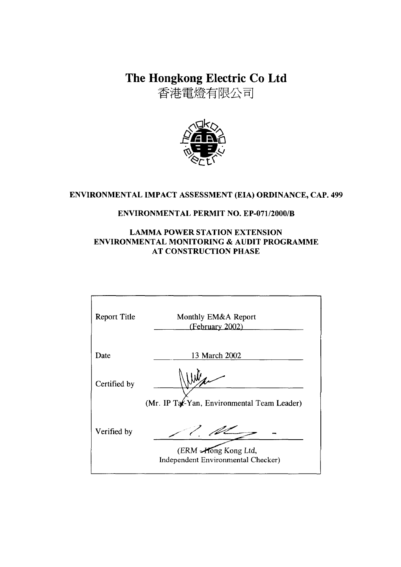The Hongkong Electric Co Ltd

香港電燈有限公司



## ENVIRONMENTAL IMPACT ASSESSMENT (EIA) ORDINANCE, CAP. 499

## **ENVIRONMENTAL PERMIT NO. EP-071/2000/B**

## **LAMMA POWER STATION EXTENSION** ENVIRONMENTAL MONITORING & AUDIT PROGRAMME **AT CONSTRUCTION PHASE**

| <b>Report Title</b> | Monthly EM&A Report<br>(February 2002)                     |
|---------------------|------------------------------------------------------------|
| Date                | 13 March 2002                                              |
| Certified by        |                                                            |
|                     | (Mr. IP Tat-Yan, Environmental Team Leader)                |
| Verified by         |                                                            |
|                     | (ERM -Hong Kong Ltd,<br>Independent Environmental Checker) |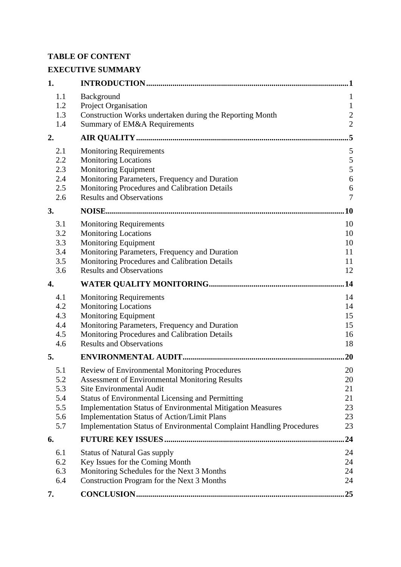## **TABLE OF CONTENT**

# **EXECUTIVE SUMMARY**

| 1.         |                                                                                                | . 1               |
|------------|------------------------------------------------------------------------------------------------|-------------------|
| 1.1<br>1.2 | Background                                                                                     | 1<br>$\mathbf{1}$ |
| 1.3        | Project Organisation<br>Construction Works undertaken during the Reporting Month               | $\boldsymbol{2}$  |
| 1.4        | Summary of EM&A Requirements                                                                   | $\overline{2}$    |
| 2.         |                                                                                                | 5                 |
| 2.1        | <b>Monitoring Requirements</b>                                                                 | 5                 |
| 2.2        | <b>Monitoring Locations</b>                                                                    | 5                 |
| 2.3<br>2.4 | <b>Monitoring Equipment</b>                                                                    | 5                 |
| 2.5        | Monitoring Parameters, Frequency and Duration<br>Monitoring Procedures and Calibration Details | 6<br>6            |
| 2.6        | <b>Results and Observations</b>                                                                | $\tau$            |
| 3.         |                                                                                                | .10               |
| 3.1        | <b>Monitoring Requirements</b>                                                                 | 10                |
| 3.2        | <b>Monitoring Locations</b>                                                                    | 10                |
| 3.3        | <b>Monitoring Equipment</b>                                                                    | 10                |
| 3.4        | Monitoring Parameters, Frequency and Duration                                                  | 11                |
| 3.5<br>3.6 | Monitoring Procedures and Calibration Details<br><b>Results and Observations</b>               | 11<br>12          |
|            |                                                                                                |                   |
| 4.         |                                                                                                | .14               |
| 4.1        | <b>Monitoring Requirements</b>                                                                 | 14                |
| 4.2        | <b>Monitoring Locations</b>                                                                    | 14                |
| 4.3        | <b>Monitoring Equipment</b>                                                                    | 15                |
| 4.4        | Monitoring Parameters, Frequency and Duration                                                  | 15                |
| 4.5<br>4.6 | Monitoring Procedures and Calibration Details<br><b>Results and Observations</b>               | 16<br>18          |
| 5.         |                                                                                                | 20                |
| 5.1        | Review of Environmental Monitoring Procedures                                                  | 20                |
| 5.2        | <b>Assessment of Environmental Monitoring Results</b>                                          | 20                |
| 5.3        | <b>Site Environmental Audit</b>                                                                | 21                |
| 5.4        | <b>Status of Environmental Licensing and Permitting</b>                                        | 21                |
| 5.5        | <b>Implementation Status of Environmental Mitigation Measures</b>                              | 23                |
| 5.6        | <b>Implementation Status of Action/Limit Plans</b>                                             | 23                |
| 5.7        | <b>Implementation Status of Environmental Complaint Handling Procedures</b>                    | 23                |
| 6.         |                                                                                                | 24                |
| 6.1        | <b>Status of Natural Gas supply</b>                                                            | 24                |
| 6.2        | Key Issues for the Coming Month                                                                | 24                |
| 6.3        | Monitoring Schedules for the Next 3 Months                                                     | 24                |
| 6.4        | Construction Program for the Next 3 Months                                                     | 24                |
| 7.         |                                                                                                | 25                |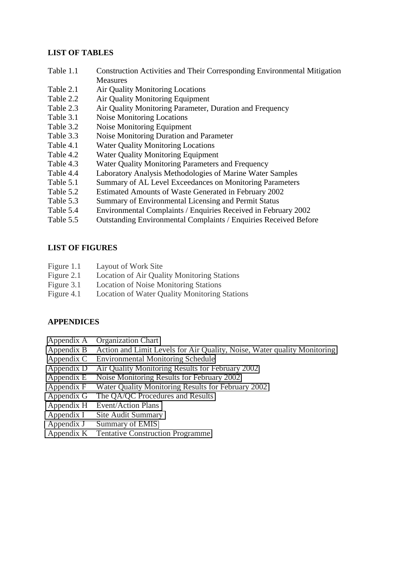#### **LIST OF TABLES**

- Table 1.1 Construction Activities and Their Corresponding Environmental Mitigation **Measures**
- Table 2.1 Air Quality Monitoring Locations
- Table 2.2 Air Quality Monitoring Equipment
- Table 2.3 Air Quality Monitoring Parameter, Duration and Frequency
- Table 3.1 Noise Monitoring Locations
- Table 3.2 Noise Monitoring Equipment
- Table 3.3 Noise Monitoring Duration and Parameter
- Table 4.1 Water Quality Monitoring Locations
- Table 4.2 Water Quality Monitoring Equipment
- Table 4.3 Water Quality Monitoring Parameters and Frequency
- Table 4.4 Laboratory Analysis Methodologies of Marine Water Samples
- Table 5.1 Summary of AL Level Exceedances on Monitoring Parameters
- Table 5.2 Estimated Amounts of Waste Generated in February 2002
- Table 5.3 Summary of Environmental Licensing and Permit Status
- Table 5.4 Environmental Complaints / Enquiries Received in February 2002
- Table 5.5 Outstanding Environmental Complaints / Enquiries Received Before

#### **LIST OF FIGURES**

- Figure 1.1 Layout of Work Site
- Figure 2.1 Location of Air Quality Monitoring Stations
- Figure 3.1 Location of Noise Monitoring Stations
- Figure 4.1 Location of Water Quality Monitoring Stations

## **APPENDICES**

- Appendix A Organization Chart
- Appendix B Action and Limit Levels for Air Quality, Noise, Water quality Monitoring
- Appendix C Environmental Monitoring Schedule
- Appendix D Air Quality Monitoring Results for February 2002
- Appendix E Noise Monitoring Results for February 2002
- Appendix F Water Quality Monitoring Results for February 2002
- Appendix G The QA/QC Procedures and Results
- Appendix H Event/Action Plans
- Appendix I Site Audit Summary
- Appendix J Summary of EMIS
- Appendix K Tentative Construction Programme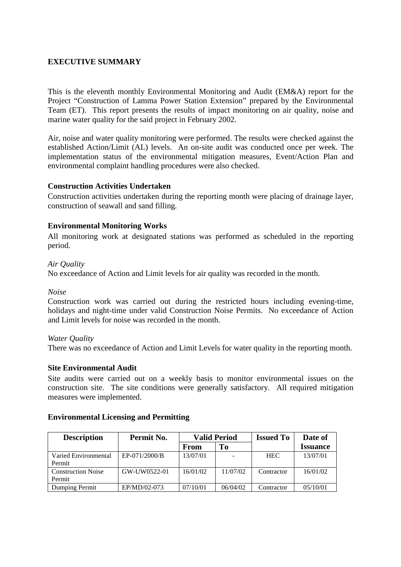## **EXECUTIVE SUMMARY**

This is the eleventh monthly Environmental Monitoring and Audit (EM&A) report for the Project "Construction of Lamma Power Station Extension" prepared by the Environmental Team (ET). This report presents the results of impact monitoring on air quality, noise and marine water quality for the said project in February 2002.

Air, noise and water quality monitoring were performed. The results were checked against the established Action/Limit (AL) levels. An on-site audit was conducted once per week. The implementation status of the environmental mitigation measures, Event/Action Plan and environmental complaint handling procedures were also checked.

#### **Construction Activities Undertaken**

Construction activities undertaken during the reporting month were placing of drainage layer, construction of seawall and sand filling.

#### **Environmental Monitoring Works**

All monitoring work at designated stations was performed as scheduled in the reporting period.

#### *Air Quality*

No exceedance of Action and Limit levels for air quality was recorded in the month.

#### *Noise*

Construction work was carried out during the restricted hours including evening-time, holidays and night-time under valid Construction Noise Permits. No exceedance of Action and Limit levels for noise was recorded in the month.

#### *Water Quality*

There was no exceedance of Action and Limit Levels for water quality in the reporting month.

#### **Site Environmental Audit**

Site audits were carried out on a weekly basis to monitor environmental issues on the construction site. The site conditions were generally satisfactory. All required mitigation measures were implemented.

| <b>Description</b>                  | Permit No.    | <b>Valid Period</b> |          | <b>Issued To</b> | Date of         |
|-------------------------------------|---------------|---------------------|----------|------------------|-----------------|
|                                     |               | From                | To       |                  | <b>Issuance</b> |
| Varied Environmental<br>Permit      | EP-071/2000/B | 13/07/01            |          | <b>HEC</b>       | 13/07/01        |
| <b>Construction Noise</b><br>Permit | GW-UW0522-01  | 16/01/02            | 11/07/02 | Contractor       | 16/01/02        |
| Dumping Permit                      | EP/MD/02-073  | 07/10/01            | 06/04/02 | Contractor       | 05/10/01        |

#### **Environmental Licensing and Permitting**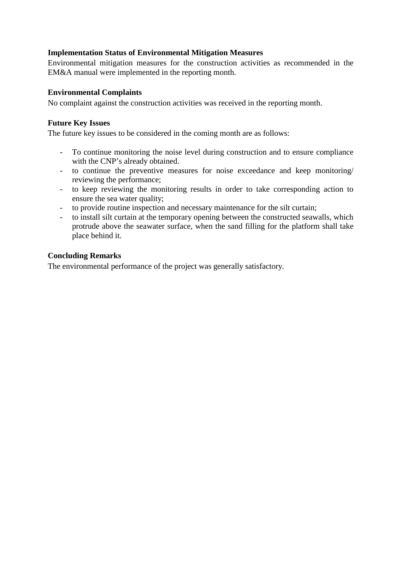## **Implementation Status of Environmental Mitigation Measures**

Environmental mitigation measures for the construction activities as recommended in the EM&A manual were implemented in the reporting month.

#### **Environmental Complaints**

No complaint against the construction activities was received in the reporting month.

#### **Future Key Issues**

The future key issues to be considered in the coming month are as follows:

- To continue monitoring the noise level during construction and to ensure compliance with the CNP's already obtained.
- to continue the preventive measures for noise exceedance and keep monitoring/ reviewing the performance;
- to keep reviewing the monitoring results in order to take corresponding action to ensure the sea water quality;
- to provide routine inspection and necessary maintenance for the silt curtain;
- to install silt curtain at the temporary opening between the constructed seawalls, which protrude above the seawater surface, when the sand filling for the platform shall take place behind it.

#### **Concluding Remarks**

The environmental performance of the project was generally satisfactory.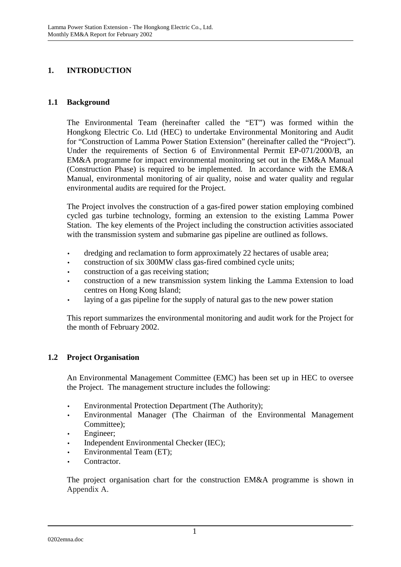# **1. INTRODUCTION**

#### **1.1 Background**

The Environmental Team (hereinafter called the "ET") was formed within the Hongkong Electric Co. Ltd (HEC) to undertake Environmental Monitoring and Audit for "Construction of Lamma Power Station Extension" (hereinafter called the "Project"). Under the requirements of Section 6 of Environmental Permit EP-071/2000/B, an EM&A programme for impact environmental monitoring set out in the EM&A Manual (Construction Phase) is required to be implemented. In accordance with the EM&A Manual, environmental monitoring of air quality, noise and water quality and regular environmental audits are required for the Project.

The Project involves the construction of a gas-fired power station employing combined cycled gas turbine technology, forming an extension to the existing Lamma Power Station. The key elements of the Project including the construction activities associated with the transmission system and submarine gas pipeline are outlined as follows.

- dredging and reclamation to form approximately 22 hectares of usable area;
- construction of six 300MW class gas-fired combined cycle units;
- construction of a gas receiving station;
- construction of a new transmission system linking the Lamma Extension to load centres on Hong Kong Island;
- laying of a gas pipeline for the supply of natural gas to the new power station

This report summarizes the environmental monitoring and audit work for the Project for the month of February 2002.

## **1.2 Project Organisation**

An Environmental Management Committee (EMC) has been set up in HEC to oversee the Project. The management structure includes the following:

- Environmental Protection Department (The Authority);
- Environmental Manager (The Chairman of the Environmental Management Committee);
- Engineer;
- Independent Environmental Checker (IEC);
- Environmental Team (ET);
- Contractor.

The project organisation chart for the construction EM&A programme is shown in Appendix A.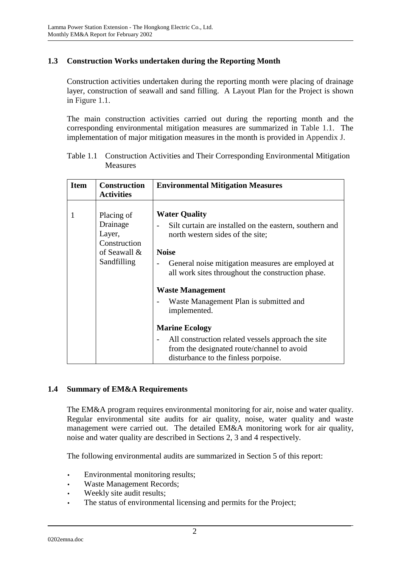## **1.3 Construction Works undertaken during the Reporting Month**

Construction activities undertaken during the reporting month were placing of drainage layer, construction of seawall and sand filling. A Layout Plan for the Project is shown in Figure 1.1.

The main construction activities carried out during the reporting month and the corresponding environmental mitigation measures are summarized in Table 1.1. The implementation of major mitigation measures in the month is provided in Appendix J.

| <b>Item</b> | <b>Construction</b><br><b>Activities</b>                                        | <b>Environmental Mitigation Measures</b>                                                                                                                                                                                                                                                                                           |
|-------------|---------------------------------------------------------------------------------|------------------------------------------------------------------------------------------------------------------------------------------------------------------------------------------------------------------------------------------------------------------------------------------------------------------------------------|
| 1           | Placing of<br>Drainage<br>Layer,<br>Construction<br>of Seawall &<br>Sandfilling | <b>Water Quality</b><br>Silt curtain are installed on the eastern, southern and<br>north western sides of the site;<br><b>Noise</b><br>General noise mitigation measures are employed at<br>all work sites throughout the construction phase.<br><b>Waste Management</b><br>Waste Management Plan is submitted and<br>implemented. |
|             |                                                                                 | <b>Marine Ecology</b><br>All construction related vessels approach the site<br>from the designated route/channel to avoid<br>disturbance to the finless porpoise.                                                                                                                                                                  |

Table 1.1 Construction Activities and Their Corresponding Environmental Mitigation Measures

## **1.4 Summary of EM&A Requirements**

The EM&A program requires environmental monitoring for air, noise and water quality. Regular environmental site audits for air quality, noise, water quality and waste management were carried out. The detailed EM&A monitoring work for air quality, noise and water quality are described in Sections 2, 3 and 4 respectively.

The following environmental audits are summarized in Section 5 of this report:

- Environmental monitoring results;
- Waste Management Records;
- Weekly site audit results;
- The status of environmental licensing and permits for the Project;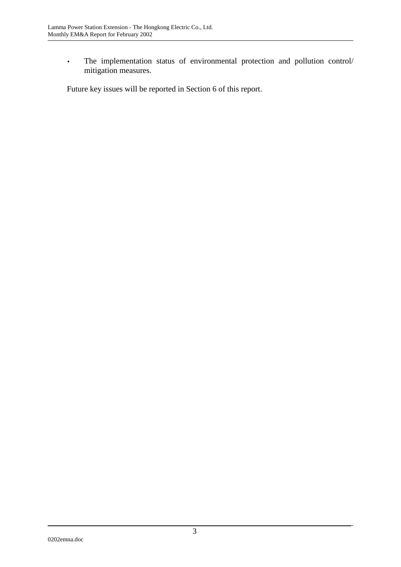• The implementation status of environmental protection and pollution control/ mitigation measures.

Future key issues will be reported in Section 6 of this report.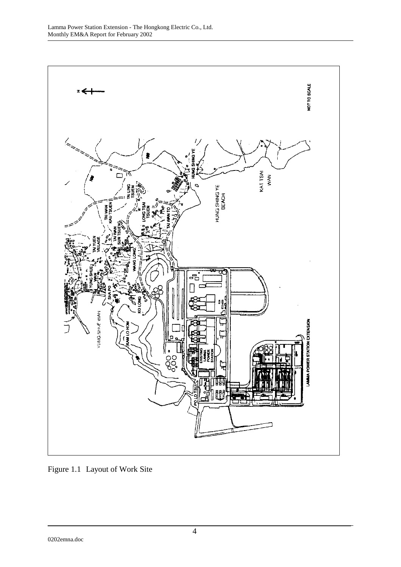

Figure 1.1 Layout of Work Site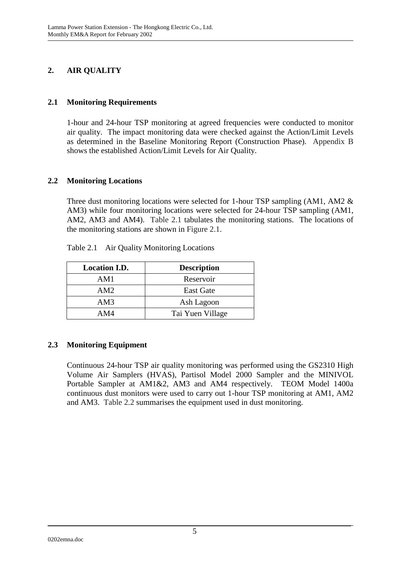# **2. AIR QUALITY**

## **2.1 Monitoring Requirements**

1-hour and 24-hour TSP monitoring at agreed frequencies were conducted to monitor air quality. The impact monitoring data were checked against the Action/Limit Levels as determined in the Baseline Monitoring Report (Construction Phase). Appendix B shows the established Action/Limit Levels for Air Quality.

## **2.2 Monitoring Locations**

Three dust monitoring locations were selected for 1-hour TSP sampling (AM1, AM2 & AM3) while four monitoring locations were selected for 24-hour TSP sampling (AM1, AM2, AM3 and AM4). Table 2.1 tabulates the monitoring stations. The locations of the monitoring stations are shown in Figure 2.1.

| <b>Location I.D.</b> | <b>Description</b> |
|----------------------|--------------------|
| AM1                  | Reservoir          |
| AM2                  | <b>East Gate</b>   |
| AM3                  | Ash Lagoon         |
| AM4                  | Tai Yuen Village   |

Table 2.1 Air Quality Monitoring Locations

## **2.3 Monitoring Equipment**

Continuous 24-hour TSP air quality monitoring was performed using the GS2310 High Volume Air Samplers (HVAS), Partisol Model 2000 Sampler and the MINIVOL Portable Sampler at AM1&2, AM3 and AM4 respectively. TEOM Model 1400a continuous dust monitors were used to carry out 1-hour TSP monitoring at AM1, AM2 and AM3. Table 2.2 summarises the equipment used in dust monitoring.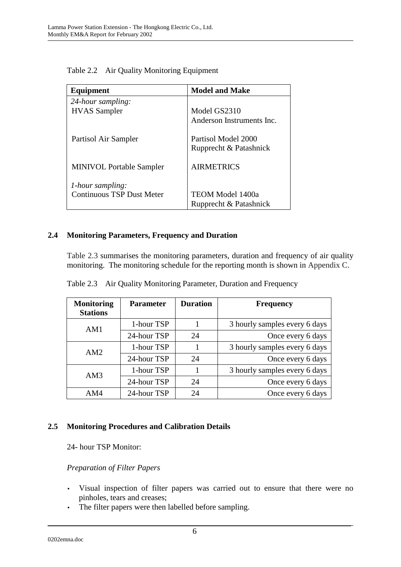| Equipment                        | <b>Model and Make</b>     |  |  |
|----------------------------------|---------------------------|--|--|
| 24-hour sampling:                |                           |  |  |
| <b>HVAS</b> Sampler              | Model GS2310              |  |  |
|                                  | Anderson Instruments Inc. |  |  |
| Partisol Air Sampler             | Partisol Model 2000       |  |  |
|                                  | Rupprecht & Patashnick    |  |  |
| <b>MINIVOL Portable Sampler</b>  | <b>AIRMETRICS</b>         |  |  |
| <i>l</i> -hour sampling:         |                           |  |  |
| <b>Continuous TSP Dust Meter</b> | TEOM Model 1400a          |  |  |
|                                  | Rupprecht & Patashnick    |  |  |

Table 2.2 Air Quality Monitoring Equipment

## **2.4 Monitoring Parameters, Frequency and Duration**

Table 2.3 summarises the monitoring parameters, duration and frequency of air quality monitoring. The monitoring schedule for the reporting month is shown in Appendix C.

| <b>Monitoring</b><br><b>Stations</b> | <b>Parameter</b> | <b>Duration</b> | <b>Frequency</b>              |  |
|--------------------------------------|------------------|-----------------|-------------------------------|--|
| AM1                                  | 1-hour TSP       |                 | 3 hourly samples every 6 days |  |
|                                      | 24-hour TSP      | 24              | Once every 6 days             |  |
| AM2                                  | 1-hour TSP       |                 | 3 hourly samples every 6 days |  |
|                                      | 24-hour TSP      | 24              | Once every 6 days             |  |
| AM3                                  | 1-hour TSP       |                 | 3 hourly samples every 6 days |  |
|                                      | 24-hour TSP      | 24              | Once every 6 days             |  |
| AM4                                  | 24-hour TSP      | 24              | Once every 6 days             |  |

Table 2.3 Air Quality Monitoring Parameter, Duration and Frequency

## **2.5 Monitoring Procedures and Calibration Details**

24- hour TSP Monitor:

## *Preparation of Filter Papers*

- Visual inspection of filter papers was carried out to ensure that there were no pinholes, tears and creases;
- The filter papers were then labelled before sampling.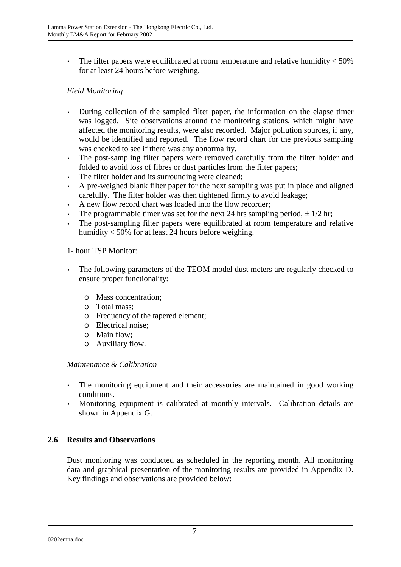• The filter papers were equilibrated at room temperature and relative humidity  $<$  50% for at least 24 hours before weighing.

## *Field Monitoring*

- During collection of the sampled filter paper, the information on the elapse timer was logged. Site observations around the monitoring stations, which might have affected the monitoring results, were also recorded. Major pollution sources, if any, would be identified and reported. The flow record chart for the previous sampling was checked to see if there was any abnormality.
- The post-sampling filter papers were removed carefully from the filter holder and folded to avoid loss of fibres or dust particles from the filter papers;
- The filter holder and its surrounding were cleaned;
- A pre-weighed blank filter paper for the next sampling was put in place and aligned carefully. The filter holder was then tightened firmly to avoid leakage;
- A new flow record chart was loaded into the flow recorder;
- The programmable timer was set for the next 24 hrs sampling period,  $\pm$  1/2 hr;
- The post-sampling filter papers were equilibrated at room temperature and relative humidity < 50% for at least 24 hours before weighing.

#### 1- hour TSP Monitor:

- The following parameters of the TEOM model dust meters are regularly checked to ensure proper functionality:
	- o Mass concentration;
	- o Total mass;
	- o Frequency of the tapered element;
	- o Electrical noise;
	- o Main flow;
	- o Auxiliary flow.

#### *Maintenance & Calibration*

- The monitoring equipment and their accessories are maintained in good working conditions.
- Monitoring equipment is calibrated at monthly intervals. Calibration details are shown in Appendix G.

## **2.6 Results and Observations**

Dust monitoring was conducted as scheduled in the reporting month. All monitoring data and graphical presentation of the monitoring results are provided in Appendix D. Key findings and observations are provided below: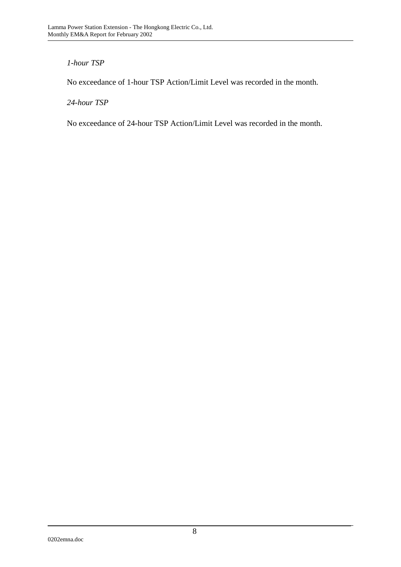## *1-hour TSP*

No exceedance of 1-hour TSP Action/Limit Level was recorded in the month.

## *24-hour TSP*

No exceedance of 24-hour TSP Action/Limit Level was recorded in the month.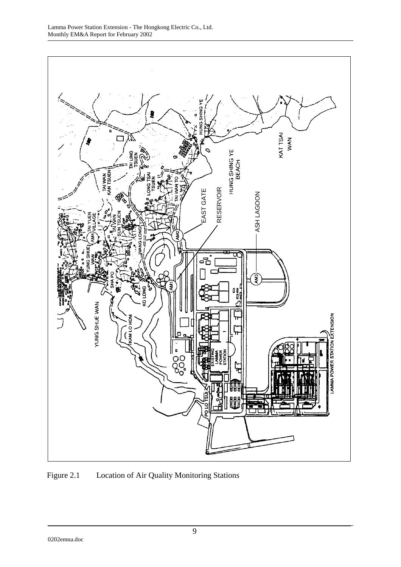

Figure 2.1 Location of Air Quality Monitoring Stations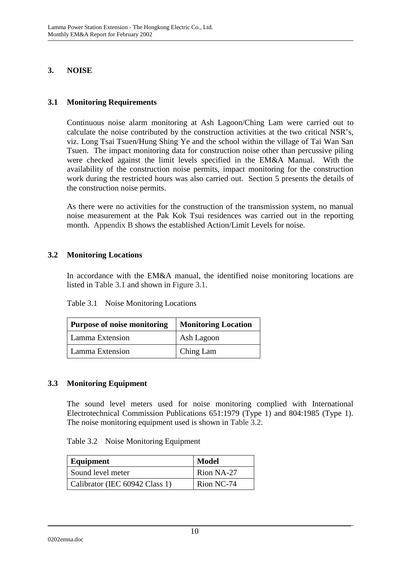## **3. NOISE**

## **3.1 Monitoring Requirements**

Continuous noise alarm monitoring at Ash Lagoon/Ching Lam were carried out to calculate the noise contributed by the construction activities at the two critical NSR's, viz. Long Tsai Tsuen/Hung Shing Ye and the school within the village of Tai Wan San Tsuen. The impact monitoring data for construction noise other than percussive piling were checked against the limit levels specified in the EM&A Manual. With the availability of the construction noise permits, impact monitoring for the construction work during the restricted hours was also carried out. Section 5 presents the details of the construction noise permits.

As there were no activities for the construction of the transmission system, no manual noise measurement at the Pak Kok Tsui residences was carried out in the reporting month. Appendix B shows the established Action/Limit Levels for noise.

## **3.2 Monitoring Locations**

In accordance with the EM&A manual, the identified noise monitoring locations are listed in Table 3.1 and shown in Figure 3.1.

| <b>Purpose of noise monitoring</b> | <b>Monitoring Location</b> |  |
|------------------------------------|----------------------------|--|
| Lamma Extension                    | Ash Lagoon                 |  |
| Lamma Extension                    | Ching Lam                  |  |

## **3.3 Monitoring Equipment**

The sound level meters used for noise monitoring complied with International Electrotechnical Commission Publications 651:1979 (Type 1) and 804:1985 (Type 1). The noise monitoring equipment used is shown in Table 3.2.

| Equipment                      | <b>Model</b> |  |
|--------------------------------|--------------|--|
| Sound level meter              | Rion NA-27   |  |
| Calibrator (IEC 60942 Class 1) | Rion NC-74   |  |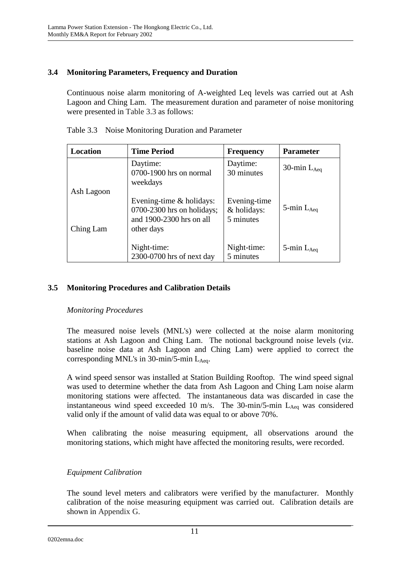## **3.4 Monitoring Parameters, Frequency and Duration**

Continuous noise alarm monitoring of A-weighted Leq levels was carried out at Ash Lagoon and Ching Lam. The measurement duration and parameter of noise monitoring were presented in Table 3.3 as follows:

| Location   | <b>Time Period</b>                                                                                   | <b>Frequency</b>                         | <b>Parameter</b>   |
|------------|------------------------------------------------------------------------------------------------------|------------------------------------------|--------------------|
|            | Daytime:<br>0700-1900 hrs on normal<br>weekdays                                                      | Daytime:<br>30 minutes                   | 30-min $L_{Aeq}$   |
| Ash Lagoon |                                                                                                      |                                          |                    |
| Ching Lam  | Evening-time $&$ holidays:<br>$0700-2300$ hrs on holidays;<br>and 1900-2300 hrs on all<br>other days | Evening-time<br>& holidays:<br>5 minutes | 5-min $L_{Aeq}$    |
|            | Night-time:<br>2300-0700 hrs of next day                                                             | Night-time:<br>5 minutes                 | $5$ -min $L_{Aea}$ |

Table 3.3 Noise Monitoring Duration and Parameter

## **3.5 Monitoring Procedures and Calibration Details**

## *Monitoring Procedures*

The measured noise levels (MNL's) were collected at the noise alarm monitoring stations at Ash Lagoon and Ching Lam. The notional background noise levels (viz. baseline noise data at Ash Lagoon and Ching Lam) were applied to correct the corresponding MNL's in  $30$ -min/5-min L<sub>Aeq</sub>.

A wind speed sensor was installed at Station Building Rooftop. The wind speed signal was used to determine whether the data from Ash Lagoon and Ching Lam noise alarm monitoring stations were affected. The instantaneous data was discarded in case the instantaneous wind speed exceeded 10 m/s. The 30-min/5-min  $L_{Aeq}$  was considered valid only if the amount of valid data was equal to or above 70%.

When calibrating the noise measuring equipment, all observations around the monitoring stations, which might have affected the monitoring results, were recorded.

## *Equipment Calibration*

The sound level meters and calibrators were verified by the manufacturer. Monthly calibration of the noise measuring equipment was carried out. Calibration details are shown in Appendix G.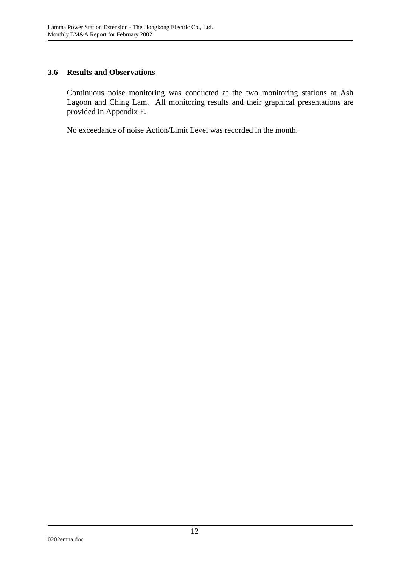## **3.6 Results and Observations**

Continuous noise monitoring was conducted at the two monitoring stations at Ash Lagoon and Ching Lam. All monitoring results and their graphical presentations are provided in Appendix E.

No exceedance of noise Action/Limit Level was recorded in the month.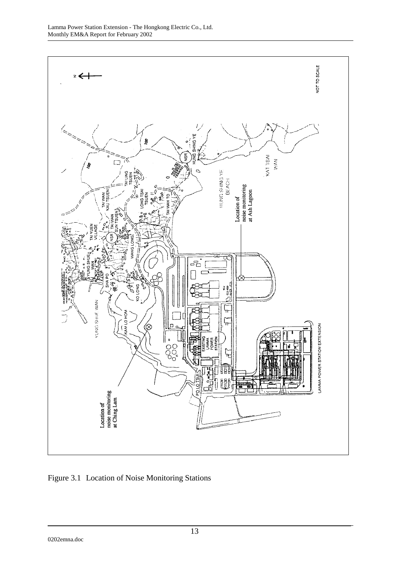

Figure 3.1 Location of Noise Monitoring Stations

0202emna.doc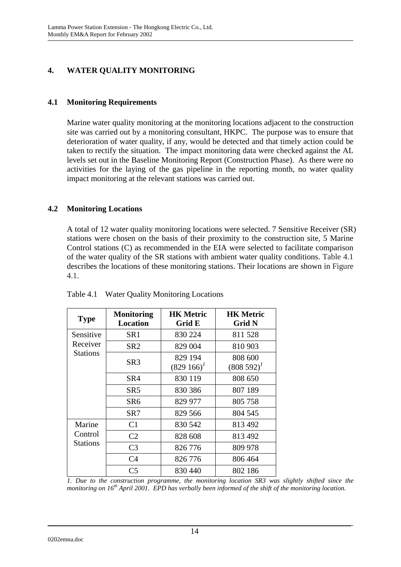# **4. WATER QUALITY MONITORING**

## **4.1 Monitoring Requirements**

Marine water quality monitoring at the monitoring locations adjacent to the construction site was carried out by a monitoring consultant, HKPC. The purpose was to ensure that deterioration of water quality, if any, would be detected and that timely action could be taken to rectify the situation. The impact monitoring data were checked against the AL levels set out in the Baseline Monitoring Report (Construction Phase). As there were no activities for the laying of the gas pipeline in the reporting month, no water quality impact monitoring at the relevant stations was carried out.

## **4.2 Monitoring Locations**

A total of 12 water quality monitoring locations were selected. 7 Sensitive Receiver (SR) stations were chosen on the basis of their proximity to the construction site, 5 Marine Control stations (C) as recommended in the EIA were selected to facilitate comparison of the water quality of the SR stations with ambient water quality conditions. Table 4.1 describes the locations of these monitoring stations. Their locations are shown in Figure 4.1.

| <b>Type</b>         | <b>Monitoring</b><br><b>Location</b> | <b>HK Metric</b><br>Grid E | <b>HK Metric</b><br>Grid N |
|---------------------|--------------------------------------|----------------------------|----------------------------|
| Sensitive           | SR <sub>1</sub>                      | 830 224                    | 811528                     |
| Receiver            | SR <sub>2</sub>                      | 829 004                    | 810 903                    |
| <b>Stations</b>     | SR <sub>3</sub>                      | 829 194<br>$(829166)^T$    | 808 600<br>$(808592)^{1}$  |
|                     | SR4                                  | 830 119                    | 808 650                    |
|                     | SR5                                  | 830 386                    | 807 189                    |
|                     | SR <sub>6</sub>                      | 829 977                    | 805 758                    |
|                     | SR7                                  | 829 566                    | 804 545                    |
| Marine              | C <sub>1</sub>                       | 830 542                    | 813 492                    |
| Control<br>Stations | C <sub>2</sub>                       | 828 608                    | 813 492                    |
|                     | C <sub>3</sub>                       | 826 776                    | 809 978                    |
|                     | C4                                   | 826 776                    | 806 464                    |
|                     | C <sub>5</sub>                       | 830 440                    | 802 186                    |

Table 4.1 Water Quality Monitoring Locations

*1. Due to the construction programme, the monitoring location SR3 was slightly shifted since the monitoring on 16th April 2001. EPD has verbally been informed of the shift of the monitoring location.*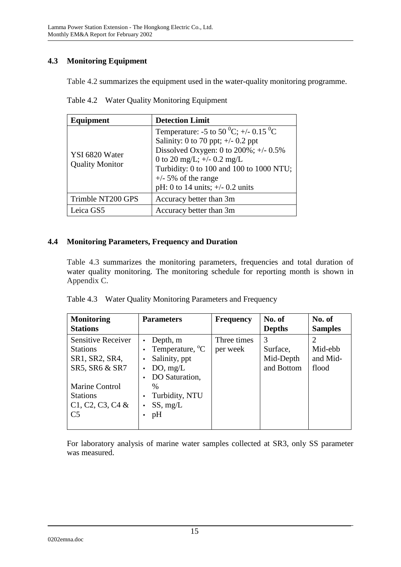# **4.3 Monitoring Equipment**

Table 4.2 summarizes the equipment used in the water-quality monitoring programme.

| Equipment                                | <b>Detection Limit</b>                                                                                                                                                                                                                                                                        |
|------------------------------------------|-----------------------------------------------------------------------------------------------------------------------------------------------------------------------------------------------------------------------------------------------------------------------------------------------|
| YSI 6820 Water<br><b>Quality Monitor</b> | Temperature: -5 to 50 <sup>0</sup> C; +/- 0.15 <sup>0</sup> C<br>Salinity: 0 to 70 ppt; $+/-$ 0.2 ppt<br>Dissolved Oxygen: 0 to $200\%$ ; +/- 0.5%<br>0 to 20 mg/L; $+/- 0.2$ mg/L<br>Turbidity: 0 to 100 and 100 to 1000 NTU;<br>$+/-$ 5% of the range<br>pH: 0 to 14 units; $+/- 0.2$ units |
| Trimble NT200 GPS                        | Accuracy better than 3m                                                                                                                                                                                                                                                                       |
| Leica GS5                                | Accuracy better than 3m                                                                                                                                                                                                                                                                       |

Table 4.2 Water Quality Monitoring Equipment

## **4.4 Monitoring Parameters, Frequency and Duration**

Table 4.3 summarizes the monitoring parameters, frequencies and total duration of water quality monitoring. The monitoring schedule for reporting month is shown in Appendix C.

|  |  | Table 4.3 Water Quality Monitoring Parameters and Frequency |  |
|--|--|-------------------------------------------------------------|--|
|--|--|-------------------------------------------------------------|--|

| <b>Monitoring</b><br><b>Stations</b>                                             | <b>Parameters</b>                                                                                   | <b>Frequency</b>        | No. of<br><b>Depths</b>                  | No. of<br><b>Samples</b>     |
|----------------------------------------------------------------------------------|-----------------------------------------------------------------------------------------------------|-------------------------|------------------------------------------|------------------------------|
| <b>Sensitive Receiver</b><br><b>Stations</b><br>SR1, SR2, SR4,<br>SR5, SR6 & SR7 | Depth, m<br>Temperature, <sup>o</sup> C<br>Salinity, ppt<br>$\bullet$<br>DO, mg/L<br>DO Saturation, | Three times<br>per week | 3<br>Surface,<br>Mid-Depth<br>and Bottom | Mid-ebb<br>and Mid-<br>flood |
| <b>Marine Control</b><br><b>Stations</b><br>$C1, C2, C3, C4$ &<br>C <sub>5</sub> | $\%$<br>Turbidity, NTU<br>SS, mg/L<br>$\bullet$<br>pH                                               |                         |                                          |                              |

For laboratory analysis of marine water samples collected at SR3, only SS parameter was measured.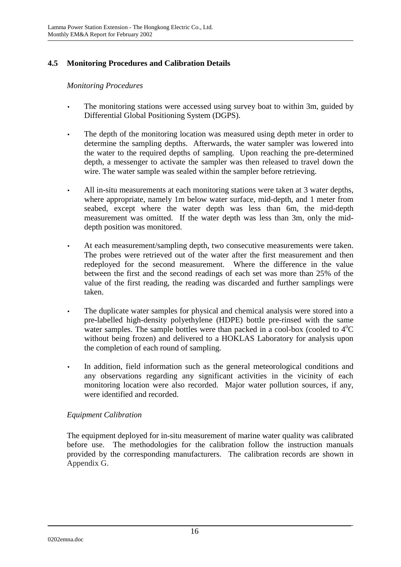# **4.5 Monitoring Procedures and Calibration Details**

#### *Monitoring Procedures*

- The monitoring stations were accessed using survey boat to within 3m, guided by Differential Global Positioning System (DGPS).
- The depth of the monitoring location was measured using depth meter in order to determine the sampling depths. Afterwards, the water sampler was lowered into the water to the required depths of sampling. Upon reaching the pre-determined depth, a messenger to activate the sampler was then released to travel down the wire. The water sample was sealed within the sampler before retrieving.
- All in-situ measurements at each monitoring stations were taken at 3 water depths, where appropriate, namely 1m below water surface, mid-depth, and 1 meter from seabed, except where the water depth was less than 6m, the mid-depth measurement was omitted. If the water depth was less than 3m, only the middepth position was monitored.
- At each measurement/sampling depth, two consecutive measurements were taken. The probes were retrieved out of the water after the first measurement and then redeployed for the second measurement. Where the difference in the value between the first and the second readings of each set was more than 25% of the value of the first reading, the reading was discarded and further samplings were taken.
- The duplicate water samples for physical and chemical analysis were stored into a pre-labelled high-density polyethylene (HDPE) bottle pre-rinsed with the same water samples. The sample bottles were than packed in a cool-box (cooled to  $4^{\circ}C$ without being frozen) and delivered to a HOKLAS Laboratory for analysis upon the completion of each round of sampling.
- In addition, field information such as the general meteorological conditions and any observations regarding any significant activities in the vicinity of each monitoring location were also recorded. Major water pollution sources, if any, were identified and recorded.

## *Equipment Calibration*

The equipment deployed for in-situ measurement of marine water quality was calibrated before use. The methodologies for the calibration follow the instruction manuals provided by the corresponding manufacturers. The calibration records are shown in Appendix G.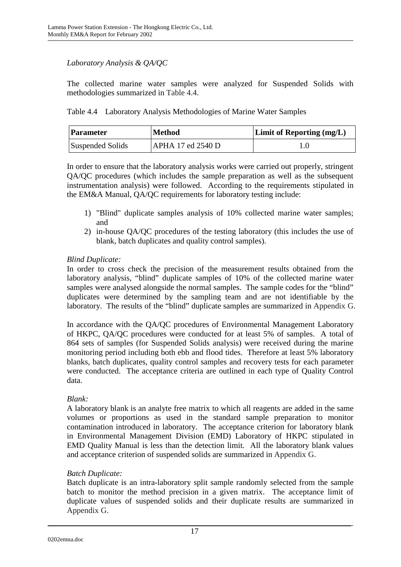## *Laboratory Analysis & QA/QC*

The collected marine water samples were analyzed for Suspended Solids with methodologies summarized in Table 4.4.

Table 4.4 Laboratory Analysis Methodologies of Marine Water Samples

| <b>Parameter</b> | <b>Method</b>     | <b>Limit of Reporting (mg/L)</b> |
|------------------|-------------------|----------------------------------|
| Suspended Solids | APHA 17 ed 2540 D | l .O                             |

In order to ensure that the laboratory analysis works were carried out properly, stringent QA/QC procedures (which includes the sample preparation as well as the subsequent instrumentation analysis) were followed. According to the requirements stipulated in the EM&A Manual, QA/QC requirements for laboratory testing include:

- 1) "Blind" duplicate samples analysis of 10% collected marine water samples; and
- 2) in-house QA/QC procedures of the testing laboratory (this includes the use of blank, batch duplicates and quality control samples).

## *Blind Duplicate:*

In order to cross check the precision of the measurement results obtained from the laboratory analysis, "blind" duplicate samples of 10% of the collected marine water samples were analysed alongside the normal samples. The sample codes for the "blind" duplicates were determined by the sampling team and are not identifiable by the laboratory. The results of the "blind" duplicate samples are summarized in Appendix G.

In accordance with the QA/QC procedures of Environmental Management Laboratory of HKPC, QA/QC procedures were conducted for at least 5% of samples. A total of 864 sets of samples (for Suspended Solids analysis) were received during the marine monitoring period including both ebb and flood tides. Therefore at least 5% laboratory blanks, batch duplicates, quality control samples and recovery tests for each parameter were conducted. The acceptance criteria are outlined in each type of Quality Control data.

## *Blank:*

A laboratory blank is an analyte free matrix to which all reagents are added in the same volumes or proportions as used in the standard sample preparation to monitor contamination introduced in laboratory. The acceptance criterion for laboratory blank in Environmental Management Division (EMD) Laboratory of HKPC stipulated in EMD Quality Manual is less than the detection limit. All the laboratory blank values and acceptance criterion of suspended solids are summarized in Appendix G.

## *Batch Duplicate:*

Batch duplicate is an intra-laboratory split sample randomly selected from the sample batch to monitor the method precision in a given matrix. The acceptance limit of duplicate values of suspended solids and their duplicate results are summarized in Appendix G.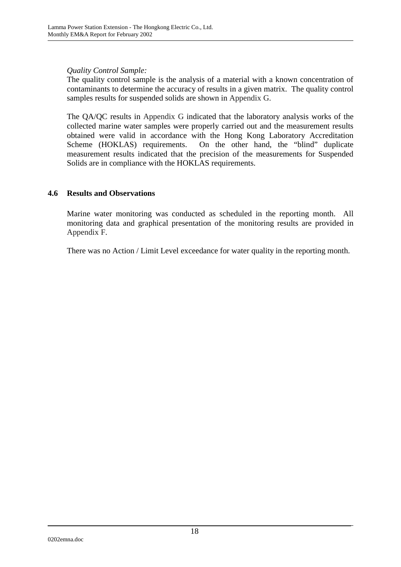*Quality Control Sample:* 

The quality control sample is the analysis of a material with a known concentration of contaminants to determine the accuracy of results in a given matrix. The quality control samples results for suspended solids are shown in Appendix G.

The QA/QC results in Appendix G indicated that the laboratory analysis works of the collected marine water samples were properly carried out and the measurement results obtained were valid in accordance with the Hong Kong Laboratory Accreditation Scheme (HOKLAS) requirements. On the other hand, the "blind" duplicate measurement results indicated that the precision of the measurements for Suspended Solids are in compliance with the HOKLAS requirements.

## **4.6 Results and Observations**

Marine water monitoring was conducted as scheduled in the reporting month. All monitoring data and graphical presentation of the monitoring results are provided in Appendix F.

There was no Action / Limit Level exceedance for water quality in the reporting month.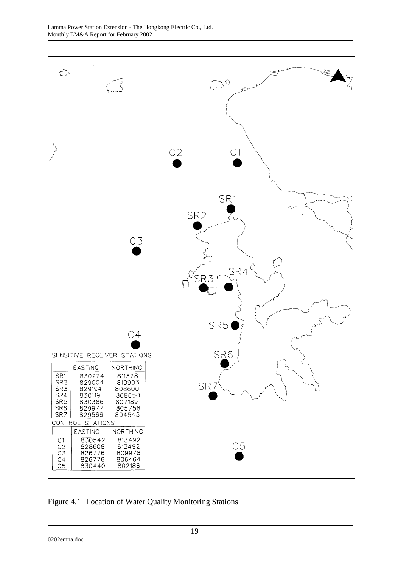

Figure 4.1 Location of Water Quality Monitoring Stations

0202emna.doc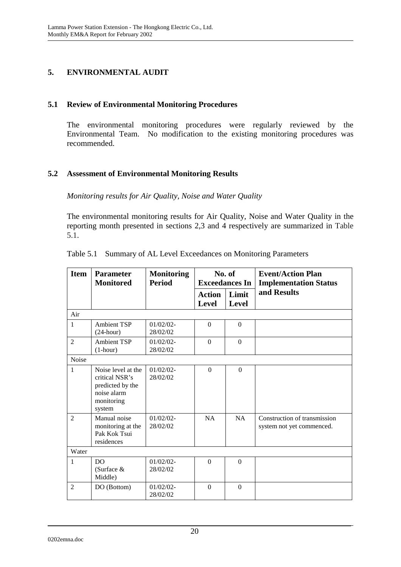## **5. ENVIRONMENTAL AUDIT**

## **5.1 Review of Environmental Monitoring Procedures**

The environmental monitoring procedures were regularly reviewed by the Environmental Team. No modification to the existing monitoring procedures was recommended.

## **5.2 Assessment of Environmental Monitoring Results**

*Monitoring results for Air Quality, Noise and Water Quality* 

The environmental monitoring results for Air Quality, Noise and Water Quality in the reporting month presented in sections 2,3 and 4 respectively are summarized in Table 5.1.

| <b>Item</b>    | <b>Parameter</b><br><b>Monitored</b>                                                            | <b>Monitoring</b><br><b>Period</b> | No. of<br><b>Exceedances In</b> |                | <b>Event/Action Plan</b><br><b>Implementation Status</b>  |
|----------------|-------------------------------------------------------------------------------------------------|------------------------------------|---------------------------------|----------------|-----------------------------------------------------------|
|                |                                                                                                 |                                    | <b>Action</b><br><b>Level</b>   | Limit<br>Level | and Results                                               |
| Air            |                                                                                                 |                                    |                                 |                |                                                           |
| $\mathbf{1}$   | <b>Ambient TSP</b><br>$(24$ -hour)                                                              | $01/02/02$ -<br>28/02/02           | $\Omega$                        | $\Omega$       |                                                           |
| $\overline{2}$ | <b>Ambient TSP</b><br>$(1-hour)$                                                                | $01/02/02$ -<br>28/02/02           | $\Omega$                        | $\overline{0}$ |                                                           |
| Noise          |                                                                                                 |                                    |                                 |                |                                                           |
| $\mathbf{1}$   | Noise level at the<br>critical NSR's<br>predicted by the<br>noise alarm<br>monitoring<br>system | $01/02/02$ -<br>28/02/02           | $\Omega$                        | $\Omega$       |                                                           |
| $\mathfrak{D}$ | Manual noise<br>monitoring at the<br>Pak Kok Tsui<br>residences                                 | $01/02/02$ -<br>28/02/02           | NA                              | NA             | Construction of transmission<br>system not yet commenced. |
| Water          |                                                                                                 |                                    |                                 |                |                                                           |
| $\mathbf{1}$   | DO.<br>(Surface &<br>Middle)                                                                    | $01/02/02$ -<br>28/02/02           | $\Omega$                        | $\Omega$       |                                                           |
| $\mathfrak{D}$ | DO (Bottom)                                                                                     | $01/02/02$ -<br>28/02/02           | $\Omega$                        | $\mathbf{0}$   |                                                           |

|  |  |  |  | Table 5.1 Summary of AL Level Exceedances on Monitoring Parameters |
|--|--|--|--|--------------------------------------------------------------------|
|--|--|--|--|--------------------------------------------------------------------|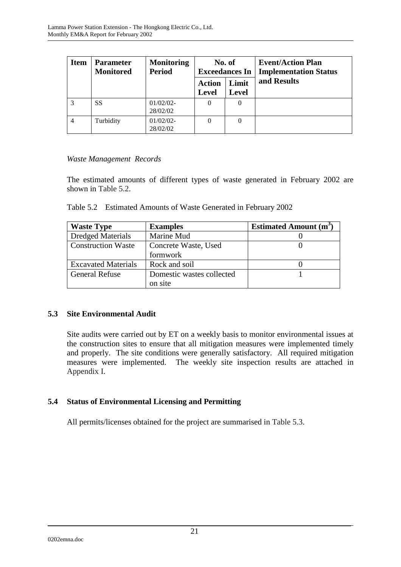| <b>Item</b>    | <b>Parameter</b><br><b>Monitored</b> | <b>Monitoring</b><br><b>Period</b> | No. of<br><b>Exceedances In</b> |                       | <b>Event/Action Plan</b><br><b>Implementation Status</b> |
|----------------|--------------------------------------|------------------------------------|---------------------------------|-----------------------|----------------------------------------------------------|
|                |                                      |                                    | <b>Action</b><br><b>Level</b>   | Limit<br><b>Level</b> | and Results                                              |
| 3              | SS                                   | $01/02/02$ -<br>28/02/02           | 0                               | $\theta$              |                                                          |
| $\overline{4}$ | Turbidity                            | $01/02/02$ -<br>28/02/02           | $\theta$                        | 0                     |                                                          |

## *Waste Management Records*

The estimated amounts of different types of waste generated in February 2002 are shown in Table 5.2.

| Table 5.2 Estimated Amounts of Waste Generated in February 2002 |  |
|-----------------------------------------------------------------|--|
|                                                                 |  |

| <b>Waste Type</b>          | <b>Examples</b>           | <b>Estimated Amount (m<sup>3</sup></b> |
|----------------------------|---------------------------|----------------------------------------|
| <b>Dredged Materials</b>   | Marine Mud                |                                        |
| <b>Construction Waste</b>  | Concrete Waste, Used      |                                        |
|                            | formwork                  |                                        |
| <b>Excavated Materials</b> | Rock and soil             |                                        |
| <b>General Refuse</b>      | Domestic wastes collected |                                        |
|                            | on site                   |                                        |

## **5.3 Site Environmental Audit**

Site audits were carried out by ET on a weekly basis to monitor environmental issues at the construction sites to ensure that all mitigation measures were implemented timely and properly. The site conditions were generally satisfactory. All required mitigation measures were implemented. The weekly site inspection results are attached in Appendix I.

## **5.4 Status of Environmental Licensing and Permitting**

All permits/licenses obtained for the project are summarised in Table 5.3.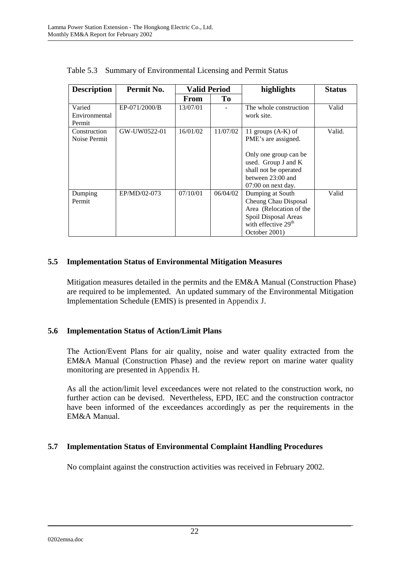| <b>Description</b> | Permit No.    | <b>Valid Period</b> |          | highlights                      | <b>Status</b> |
|--------------------|---------------|---------------------|----------|---------------------------------|---------------|
|                    |               | From                | To       |                                 |               |
| Varied             | EP-071/2000/B | 13/07/01            |          | The whole construction          | Valid         |
| Environmental      |               |                     |          | work site.                      |               |
| Permit             |               |                     |          |                                 |               |
| Construction       | GW-UW0522-01  | 16/01/02            | 11/07/02 | 11 groups $(A-K)$ of            | Valid.        |
| Noise Permit       |               |                     |          | PME's are assigned.             |               |
|                    |               |                     |          |                                 |               |
|                    |               |                     |          | Only one group can be           |               |
|                    |               |                     |          | used. Group J and K             |               |
|                    |               |                     |          | shall not be operated           |               |
|                    |               |                     |          | between 23:00 and               |               |
|                    |               |                     |          | $07:00$ on next day.            |               |
| Dumping            | EP/MD/02-073  | 07/10/01            | 06/04/02 | Dumping at South                | Valid         |
| Permit             |               |                     |          | Cheung Chau Disposal            |               |
|                    |               |                     |          | Area (Relocation of the         |               |
|                    |               |                     |          | Spoil Disposal Areas            |               |
|                    |               |                     |          | with effective 29 <sup>th</sup> |               |
|                    |               |                     |          | October 2001)                   |               |

Table 5.3 Summary of Environmental Licensing and Permit Status

## **5.5 Implementation Status of Environmental Mitigation Measures**

Mitigation measures detailed in the permits and the EM&A Manual (Construction Phase) are required to be implemented. An updated summary of the Environmental Mitigation Implementation Schedule (EMIS) is presented in Appendix J.

## **5.6 Implementation Status of Action/Limit Plans**

The Action/Event Plans for air quality, noise and water quality extracted from the EM&A Manual (Construction Phase) and the review report on marine water quality monitoring are presented in Appendix H.

As all the action/limit level exceedances were not related to the construction work, no further action can be devised. Nevertheless, EPD, IEC and the construction contractor have been informed of the exceedances accordingly as per the requirements in the EM&A Manual.

## **5.7 Implementation Status of Environmental Complaint Handling Procedures**

No complaint against the construction activities was received in February 2002.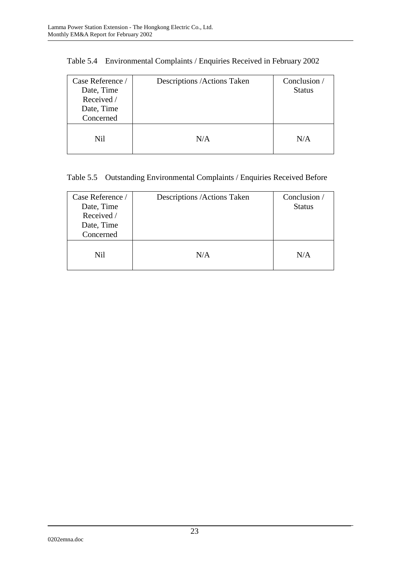| Case Reference /<br>Date, Time<br>Received /<br>Date, Time<br>Concerned | Descriptions / Actions Taken | Conclusion /<br><b>Status</b> |
|-------------------------------------------------------------------------|------------------------------|-------------------------------|
| <b>Nil</b>                                                              | N/A                          | N/A                           |

| Table 5.4 Environmental Complaints / Enquiries Received in February 2002 |  |  |
|--------------------------------------------------------------------------|--|--|
|                                                                          |  |  |

# Table 5.5 Outstanding Environmental Complaints / Enquiries Received Before

| Case Reference /<br>Date, Time<br>Received /<br>Date, Time<br>Concerned | Descriptions / Actions Taken | Conclusion /<br><b>Status</b> |
|-------------------------------------------------------------------------|------------------------------|-------------------------------|
| Nil                                                                     | N/A                          | N/A                           |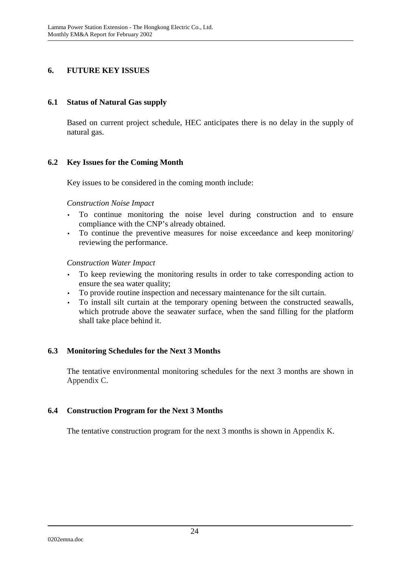## **6. FUTURE KEY ISSUES**

#### **6.1 Status of Natural Gas supply**

Based on current project schedule, HEC anticipates there is no delay in the supply of natural gas.

## **6.2 Key Issues for the Coming Month**

Key issues to be considered in the coming month include:

#### *Construction Noise Impact*

- To continue monitoring the noise level during construction and to ensure compliance with the CNP's already obtained.
- To continue the preventive measures for noise exceedance and keep monitoring/ reviewing the performance.

#### *Construction Water Impact*

- To keep reviewing the monitoring results in order to take corresponding action to ensure the sea water quality;
- To provide routine inspection and necessary maintenance for the silt curtain.
- To install silt curtain at the temporary opening between the constructed seawalls, which protrude above the seawater surface, when the sand filling for the platform shall take place behind it.

## **6.3 Monitoring Schedules for the Next 3 Months**

The tentative environmental monitoring schedules for the next 3 months are shown in Appendix C.

## **6.4 Construction Program for the Next 3 Months**

The tentative construction program for the next 3 months is shown in Appendix K.